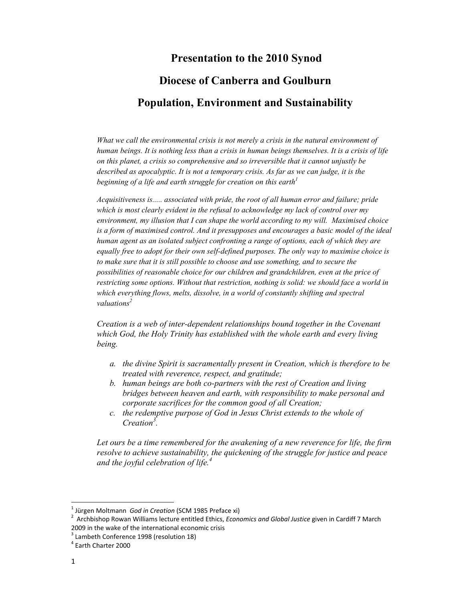## **Presentation to the 2010 Synod**

# **Diocese of Canberra and Goulburn**

# **Population, Environment and Sustainability**

*What we call the environmental crisis is not merely a crisis in the natural environment of human beings. It is nothing less than a crisis in human beings themselves. It is a crisis of life on this planet, a crisis so comprehensive and so irreversible that it cannot unjustly be described as apocalyptic. It is not a temporary crisis. As far as we can judge, it is the beginning of a life and earth struggle for creation on this earth*<sup>1</sup>

*Acquisitiveness is..... associated with pride, the root of all human error and failure; pride which is most clearly evident in the refusal to acknowledge my lack of control over my environment, my illusion that I can shape the world according to my will. Maximised choice is a form of maximised control. And it presupposes and encourages a basic model of the ideal human agent as an isolated subject confronting a range of options, each of which they are equally free to adopt for their own self-defined purposes. The only way to maximise choice is to make sure that it is still possible to choose and use something, and to secure the possibilities of reasonable choice for our children and grandchildren, even at the price of restricting some options. Without that restriction, nothing is solid: we should face a world in which everything flows, melts, dissolve, in a world of constantly shifting and spectral valuations2*

*Creation is a web of inter-dependent relationships bound together in the Covenant which God, the Holy Trinity has established with the whole earth and every living being.* 

- *a. the divine Spirit is sacramentally present in Creation, which is therefore to be treated with reverence, respect, and gratitude;*
- *b. human beings are both co-partners with the rest of Creation and living bridges between heaven and earth, with responsibility to make personal and corporate sacrifices for the common good of all Creation;*
- *c. the redemptive purpose of God in Jesus Christ extends to the whole of Creation<sup>3</sup> .*

*Let ours be a time remembered for the awakening of a new reverence for life, the firm resolve to achieve sustainability, the quickening of the struggle for justice and peace and the joyful celebration of life.<sup>4</sup>*

<sup>&</sup>lt;sup>1</sup> Jürgen Moltmann God in Creation (SCM 1985 Preface xi)

<sup>&</sup>lt;sup>1</sup> Jürgen Moltmann *God in Creation* (SCM 1985 Preface xi)<br><sup>2</sup> Archbishop Rowan Williams lecture entitled Ethics, *Economics and Global Justice* given in Cardiff 7 March 2009 in the wake of the international economic crisis

<sup>&</sup>lt;sup>3</sup> Lambeth Conference 1998 (resolution 18)

<sup>4</sup> Earth Charter 2000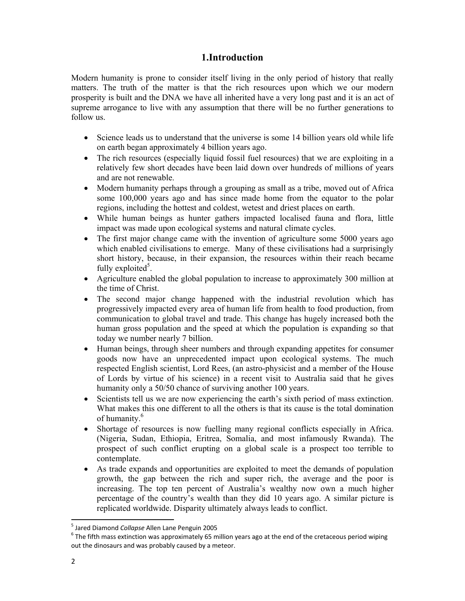## **1.Introduction**

Modern humanity is prone to consider itself living in the only period of history that really matters. The truth of the matter is that the rich resources upon which we our modern prosperity is built and the DNA we have all inherited have a very long past and it is an act of supreme arrogance to live with any assumption that there will be no further generations to follow us.

- Science leads us to understand that the universe is some 14 billion years old while life on earth began approximately 4 billion years ago.
- The rich resources (especially liquid fossil fuel resources) that we are exploiting in a relatively few short decades have been laid down over hundreds of millions of years and are not renewable.
- Modern humanity perhaps through a grouping as small as a tribe, moved out of Africa some 100,000 years ago and has since made home from the equator to the polar regions, including the hottest and coldest, wetest and driest places on earth.
- While human beings as hunter gathers impacted localised fauna and flora, little impact was made upon ecological systems and natural climate cycles.
- The first major change came with the invention of agriculture some 5000 years ago which enabled civilisations to emerge. Many of these civilisations had a surprisingly short history, because, in their expansion, the resources within their reach became fully exploited<sup>5</sup>.
- Agriculture enabled the global population to increase to approximately 300 million at the time of Christ.
- The second major change happened with the industrial revolution which has progressively impacted every area of human life from health to food production, from communication to global travel and trade. This change has hugely increased both the human gross population and the speed at which the population is expanding so that today we number nearly 7 billion.
- Human beings, through sheer numbers and through expanding appetites for consumer goods now have an unprecedented impact upon ecological systems. The much respected English scientist, Lord Rees, (an astro-physicist and a member of the House of Lords by virtue of his science) in a recent visit to Australia said that he gives humanity only a 50/50 chance of surviving another 100 years.
- Scientists tell us we are now experiencing the earth's sixth period of mass extinction. What makes this one different to all the others is that its cause is the total domination of humanity.6
- Shortage of resources is now fuelling many regional conflicts especially in Africa. (Nigeria, Sudan, Ethiopia, Eritrea, Somalia, and most infamously Rwanda). The prospect of such conflict erupting on a global scale is a prospect too terrible to contemplate.
- As trade expands and opportunities are exploited to meet the demands of population growth, the gap between the rich and super rich, the average and the poor is increasing. The top ten percent of Australia's wealthy now own a much higher percentage of the country's wealth than they did 10 years ago. A similar picture is replicated worldwide. Disparity ultimately always leads to conflict.

<sup>&</sup>lt;sup>5</sup> Jared Diamond *Collapse* Allen Lane Penguin 2005<br><sup>6</sup> The fifth mass outinstien was approximately 65 m

 $6$  The fifth mass extinction was approximately 65 million years ago at the end of the cretaceous period wiping out the dinosaurs and was probably caused by a meteor.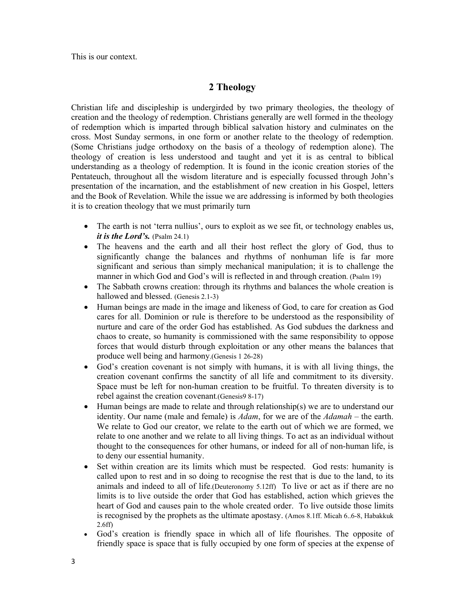This is our context.

## **2 Theology**

Christian life and discipleship is undergirded by two primary theologies, the theology of creation and the theology of redemption. Christians generally are well formed in the theology of redemption which is imparted through biblical salvation history and culminates on the cross. Most Sunday sermons, in one form or another relate to the theology of redemption. (Some Christians judge orthodoxy on the basis of a theology of redemption alone). The theology of creation is less understood and taught and yet it is as central to biblical understanding as a theology of redemption. It is found in the iconic creation stories of the Pentateuch, throughout all the wisdom literature and is especially focussed through John's presentation of the incarnation, and the establishment of new creation in his Gospel, letters and the Book of Revelation. While the issue we are addressing is informed by both theologies it is to creation theology that we must primarily turn

- The earth is not 'terra nullius', ours to exploit as we see fit, or technology enables us, *it is the Lord's.* (Psalm 24.1)
- The heavens and the earth and all their host reflect the glory of God, thus to significantly change the balances and rhythms of nonhuman life is far more significant and serious than simply mechanical manipulation; it is to challenge the manner in which God and God's will is reflected in and through creation. (Psalm 19)
- The Sabbath crowns creation: through its rhythms and balances the whole creation is hallowed and blessed. (Genesis 2.1-3)
- Human beings are made in the image and likeness of God, to care for creation as God cares for all. Dominion or rule is therefore to be understood as the responsibility of nurture and care of the order God has established. As God subdues the darkness and chaos to create, so humanity is commissioned with the same responsibility to oppose forces that would disturb through exploitation or any other means the balances that produce well being and harmony.(Genesis 1 26-28)
- God's creation covenant is not simply with humans, it is with all living things, the creation covenant confirms the sanctity of all life and commitment to its diversity. Space must be left for non-human creation to be fruitful. To threaten diversity is to rebel against the creation covenant.(Genesis9 8-17)
- Human beings are made to relate and through relationship(s) we are to understand our identity. Our name (male and female) is *Adam*, for we are of the *Adamah* – the earth. We relate to God our creator, we relate to the earth out of which we are formed, we relate to one another and we relate to all living things. To act as an individual without thought to the consequences for other humans, or indeed for all of non-human life, is to deny our essential humanity.
- Set within creation are its limits which must be respected. God rests: humanity is called upon to rest and in so doing to recognise the rest that is due to the land, to its animals and indeed to all of life.(Deuteronomy 5.12ff) To live or act as if there are no limits is to live outside the order that God has established, action which grieves the heart of God and causes pain to the whole created order. To live outside those limits is recognised by the prophets as the ultimate apostasy. (Amos 8.1ff. Micah 6..6-8, Habakkuk 2.6ff)
- God's creation is friendly space in which all of life flourishes. The opposite of friendly space is space that is fully occupied by one form of species at the expense of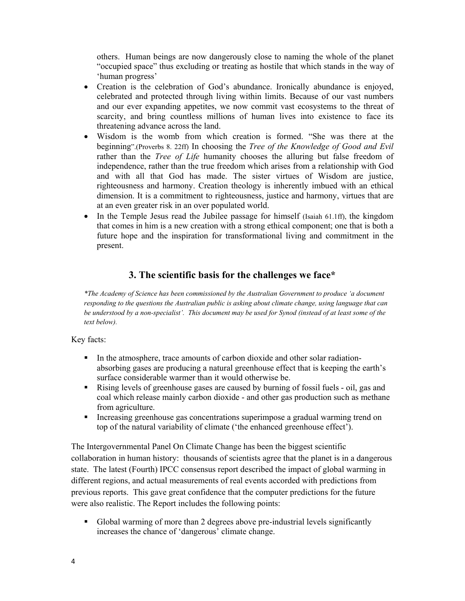others. Human beings are now dangerously close to naming the whole of the planet "occupied space" thus excluding or treating as hostile that which stands in the way of 'human progress'

- Creation is the celebration of God's abundance. Ironically abundance is enjoyed, celebrated and protected through living within limits. Because of our vast numbers and our ever expanding appetites, we now commit vast ecosystems to the threat of scarcity, and bring countless millions of human lives into existence to face its threatening advance across the land.
- Wisdom is the womb from which creation is formed. "She was there at the beginning".(Proverbs 8. 22ff) In choosing the *Tree of the Knowledge of Good and Evil* rather than the *Tree of Life* humanity chooses the alluring but false freedom of independence, rather than the true freedom which arises from a relationship with God and with all that God has made. The sister virtues of Wisdom are justice, righteousness and harmony. Creation theology is inherently imbued with an ethical dimension. It is a commitment to righteousness, justice and harmony, virtues that are at an even greater risk in an over populated world.
- In the Temple Jesus read the Jubilee passage for himself (Isaiah 61.1ff), the kingdom that comes in him is a new creation with a strong ethical component; one that is both a future hope and the inspiration for transformational living and commitment in the present.

## **3. The scientific basis for the challenges we face\***

*\*The Academy of Science has been commissioned by the Australian Government to produce 'a document responding to the questions the Australian public is asking about climate change, using language that can be understood by a non-specialist'. This document may be used for Synod (instead of at least some of the text below).* 

#### Key facts:

- In the atmosphere, trace amounts of carbon dioxide and other solar radiationabsorbing gases are producing a natural greenhouse effect that is keeping the earth's surface considerable warmer than it would otherwise be.
- Rising levels of greenhouse gases are caused by burning of fossil fuels oil, gas and coal which release mainly carbon dioxide - and other gas production such as methane from agriculture.
- Increasing greenhouse gas concentrations superimpose a gradual warming trend on top of the natural variability of climate ('the enhanced greenhouse effect').

The Intergovernmental Panel On Climate Change has been the biggest scientific collaboration in human history: thousands of scientists agree that the planet is in a dangerous state. The latest (Fourth) IPCC consensus report described the impact of global warming in different regions, and actual measurements of real events accorded with predictions from previous reports. This gave great confidence that the computer predictions for the future were also realistic. The Report includes the following points:

 Global warming of more than 2 degrees above pre-industrial levels significantly increases the chance of 'dangerous' climate change.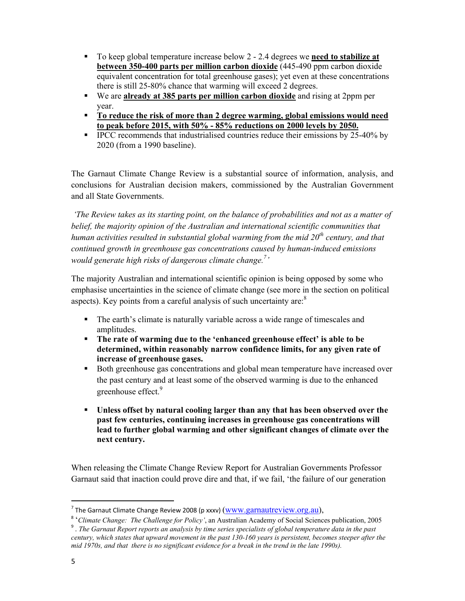- To keep global temperature increase below 2 2.4 degrees we **need to stabilize at between 350-400 parts per million carbon dioxide** (445-490 ppm carbon dioxide equivalent concentration for total greenhouse gases); yet even at these concentrations there is still 25-80% chance that warming will exceed 2 degrees.
- We are **already at 385 parts per million carbon dioxide** and rising at 2ppm per year.
- **To reduce the risk of more than 2 degree warming, global emissions would need to peak before 2015, with 50% - 85% reductions on 2000 levels by 2050.**
- **IPCC** recommends that industrialised countries reduce their emissions by 25-40% by 2020 (from a 1990 baseline).

The Garnaut Climate Change Review is a substantial source of information, analysis, and conclusions for Australian decision makers, commissioned by the Australian Government and all State Governments.

 *'The Review takes as its starting point, on the balance of probabilities and not as a matter of*  belief, the majority opinion of the Australian and international scientific communities that *human activities resulted in substantial global warming from the mid 20th century, and that continued growth in greenhouse gas concentrations caused by human-induced emissions*  would generate high risks of dangerous climate change.<sup>7</sup>'

The majority Australian and international scientific opinion is being opposed by some who emphasise uncertainties in the science of climate change (see more in the section on political aspects). Key points from a careful analysis of such uncertainty are: $8$ 

- The earth's climate is naturally variable across a wide range of timescales and amplitudes.
- **The rate of warming due to the 'enhanced greenhouse effect' is able to be determined, within reasonably narrow confidence limits, for any given rate of increase of greenhouse gases.**
- Both greenhouse gas concentrations and global mean temperature have increased over the past century and at least some of the observed warming is due to the enhanced greenhouse effect.<sup>9</sup>
- **Unless offset by natural cooling larger than any that has been observed over the past few centuries, continuing increases in greenhouse gas concentrations will lead to further global warming and other significant changes of climate over the next century.**

When releasing the Climate Change Review Report for Australian Governments Professor Garnaut said that inaction could prove dire and that, if we fail, 'the failure of our generation

<sup>&</sup>lt;sup>7</sup> The Garnaut Climate Change Review 2008 (p xxxv)  $(\underline{www.garnautreview.org.au}),$ 

<sup>8</sup> '*Climate Change: The Challenge for Policy'*, an Australian Academy of Social Sciences publication, 2005

<sup>9</sup> . *The Garnaut Report reports an analysis by time series specialists of global temperature data in the past century, which states that upward movement in the past 130-160 years is persistent, becomes steeper after the mid 1970s, and that there is no significant evidence for a break in the trend in the late 1990s).*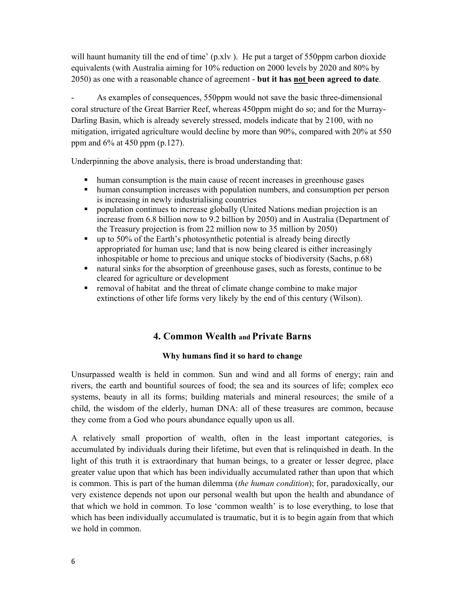will haunt humanity till the end of time' (p.xlv). He put a target of 550ppm carbon dioxide equivalents (with Australia aiming for 10% reduction on 2000 levels by 2020 and 80% by 2050) as one with a reasonable chance of agreement - **but it has not been agreed to date**.

As examples of consequences, 550ppm would not save the basic three-dimensional coral structure of the Great Barrier Reef, whereas 450ppm might do so; and for the Murray-Darling Basin, which is already severely stressed, models indicate that by 2100, with no mitigation, irrigated agriculture would decline by more than 90%, compared with 20% at 550 ppm and 6% at 450 ppm (p.127).

Underpinning the above analysis, there is broad understanding that:

- human consumption is the main cause of recent increases in greenhouse gases
- human consumption increases with population numbers, and consumption per person is increasing in newly industrialising countries
- **•** population continues to increase globally (United Nations median projection is an increase from 6.8 billion now to 9.2 billion by 2050) and in Australia (Department of the Treasury projection is from 22 million now to 35 million by 2050)
- up to 50% of the Earth's photosynthetic potential is already being directly appropriated for human use; land that is now being cleared is either increasingly inhospitable or home to precious and unique stocks of biodiversity (Sachs, p.68)
- natural sinks for the absorption of greenhouse gases, such as forests, continue to be cleared for agriculture or development
- removal of habitat and the threat of climate change combine to make major extinctions of other life forms very likely by the end of this century (Wilson).

## **4. Common Wealth and Private Barns**

#### **Why humans find it so hard to change**

Unsurpassed wealth is held in common. Sun and wind and all forms of energy; rain and rivers, the earth and bountiful sources of food; the sea and its sources of life; complex eco systems, beauty in all its forms; building materials and mineral resources; the smile of a child, the wisdom of the elderly, human DNA: all of these treasures are common, because they come from a God who pours abundance equally upon us all.

A relatively small proportion of wealth, often in the least important categories, is accumulated by individuals during their lifetime, but even that is relinquished in death. In the light of this truth it is extraordinary that human beings, to a greater or lesser degree, place greater value upon that which has been individually accumulated rather than upon that which is common. This is part of the human dilemma (*the human condition*); for, paradoxically, our very existence depends not upon our personal wealth but upon the health and abundance of that which we hold in common. To lose 'common wealth' is to lose everything, to lose that which has been individually accumulated is traumatic, but it is to begin again from that which we hold in common.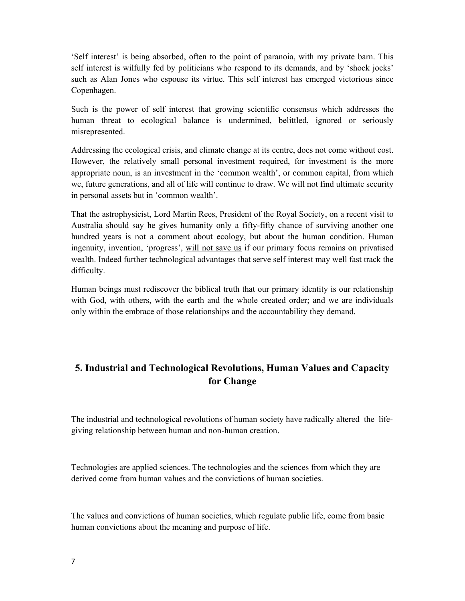'Self interest' is being absorbed, often to the point of paranoia, with my private barn. This self interest is wilfully fed by politicians who respond to its demands, and by 'shock jocks' such as Alan Jones who espouse its virtue. This self interest has emerged victorious since Copenhagen.

Such is the power of self interest that growing scientific consensus which addresses the human threat to ecological balance is undermined, belittled, ignored or seriously misrepresented.

Addressing the ecological crisis, and climate change at its centre, does not come without cost. However, the relatively small personal investment required, for investment is the more appropriate noun, is an investment in the 'common wealth', or common capital, from which we, future generations, and all of life will continue to draw. We will not find ultimate security in personal assets but in 'common wealth'.

That the astrophysicist, Lord Martin Rees, President of the Royal Society, on a recent visit to Australia should say he gives humanity only a fifty-fifty chance of surviving another one hundred years is not a comment about ecology, but about the human condition. Human ingenuity, invention, 'progress', will not save us if our primary focus remains on privatised wealth. Indeed further technological advantages that serve self interest may well fast track the difficulty.

Human beings must rediscover the biblical truth that our primary identity is our relationship with God, with others, with the earth and the whole created order; and we are individuals only within the embrace of those relationships and the accountability they demand.

# **5. Industrial and Technological Revolutions, Human Values and Capacity for Change**

The industrial and technological revolutions of human society have radically altered the lifegiving relationship between human and non-human creation.

Technologies are applied sciences. The technologies and the sciences from which they are derived come from human values and the convictions of human societies.

The values and convictions of human societies, which regulate public life, come from basic human convictions about the meaning and purpose of life.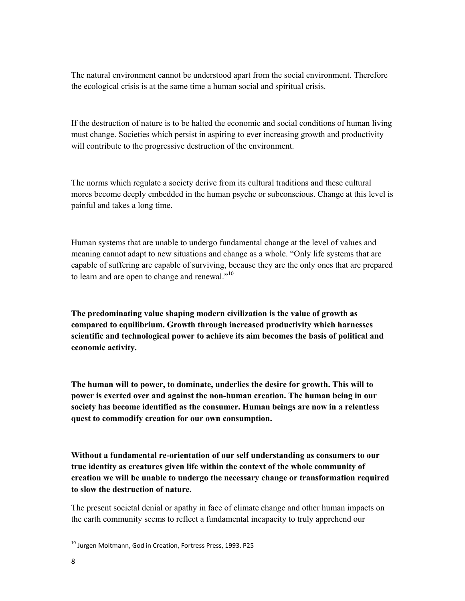The natural environment cannot be understood apart from the social environment. Therefore the ecological crisis is at the same time a human social and spiritual crisis.

If the destruction of nature is to be halted the economic and social conditions of human living must change. Societies which persist in aspiring to ever increasing growth and productivity will contribute to the progressive destruction of the environment.

The norms which regulate a society derive from its cultural traditions and these cultural mores become deeply embedded in the human psyche or subconscious. Change at this level is painful and takes a long time.

Human systems that are unable to undergo fundamental change at the level of values and meaning cannot adapt to new situations and change as a whole. "Only life systems that are capable of suffering are capable of surviving, because they are the only ones that are prepared to learn and are open to change and renewal." $10$ 

**The predominating value shaping modern civilization is the value of growth as compared to equilibrium. Growth through increased productivity which harnesses scientific and technological power to achieve its aim becomes the basis of political and economic activity.** 

**The human will to power, to dominate, underlies the desire for growth. This will to power is exerted over and against the non-human creation. The human being in our society has become identified as the consumer. Human beings are now in a relentless quest to commodify creation for our own consumption.** 

**Without a fundamental re-orientation of our self understanding as consumers to our true identity as creatures given life within the context of the whole community of creation we will be unable to undergo the necessary change or transformation required to slow the destruction of nature.** 

The present societal denial or apathy in face of climate change and other human impacts on the earth community seems to reflect a fundamental incapacity to truly apprehend our

<sup>10</sup> Jurgen Moltmann, God in Creation, Fortress Press, 1993. P25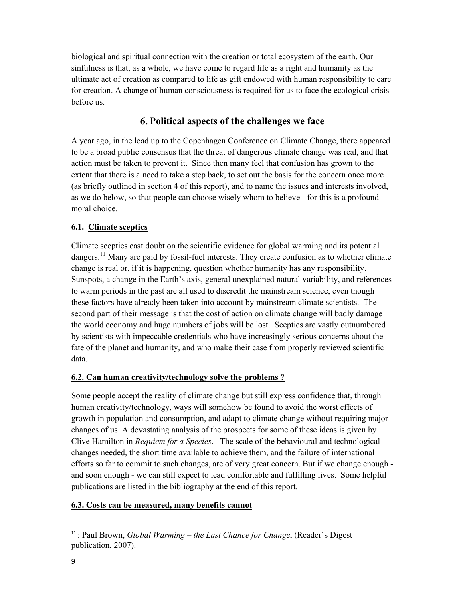biological and spiritual connection with the creation or total ecosystem of the earth. Our sinfulness is that, as a whole, we have come to regard life as a right and humanity as the ultimate act of creation as compared to life as gift endowed with human responsibility to care for creation. A change of human consciousness is required for us to face the ecological crisis before us.

## **6. Political aspects of the challenges we face**

A year ago, in the lead up to the Copenhagen Conference on Climate Change, there appeared to be a broad public consensus that the threat of dangerous climate change was real, and that action must be taken to prevent it. Since then many feel that confusion has grown to the extent that there is a need to take a step back, to set out the basis for the concern once more (as briefly outlined in section 4 of this report), and to name the issues and interests involved, as we do below, so that people can choose wisely whom to believe - for this is a profound moral choice.

## **6.1. Climate sceptics**

Climate sceptics cast doubt on the scientific evidence for global warming and its potential dangers.<sup>11</sup> Many are paid by fossil-fuel interests. They create confusion as to whether climate change is real or, if it is happening, question whether humanity has any responsibility. Sunspots, a change in the Earth's axis, general unexplained natural variability, and references to warm periods in the past are all used to discredit the mainstream science, even though these factors have already been taken into account by mainstream climate scientists. The second part of their message is that the cost of action on climate change will badly damage the world economy and huge numbers of jobs will be lost. Sceptics are vastly outnumbered by scientists with impeccable credentials who have increasingly serious concerns about the fate of the planet and humanity, and who make their case from properly reviewed scientific data.

## **6.2. Can human creativity/technology solve the problems ?**

Some people accept the reality of climate change but still express confidence that, through human creativity/technology, ways will somehow be found to avoid the worst effects of growth in population and consumption, and adapt to climate change without requiring major changes of us. A devastating analysis of the prospects for some of these ideas is given by Clive Hamilton in *Requiem for a Species*. The scale of the behavioural and technological changes needed, the short time available to achieve them, and the failure of international efforts so far to commit to such changes, are of very great concern. But if we change enough and soon enough - we can still expect to lead comfortable and fulfilling lives. Some helpful publications are listed in the bibliography at the end of this report.

## **6.3. Costs can be measured, many benefits cannot**

<sup>-</sup><sup>11</sup> : Paul Brown, *Global Warming – the Last Chance for Change*, (Reader's Digest publication, 2007).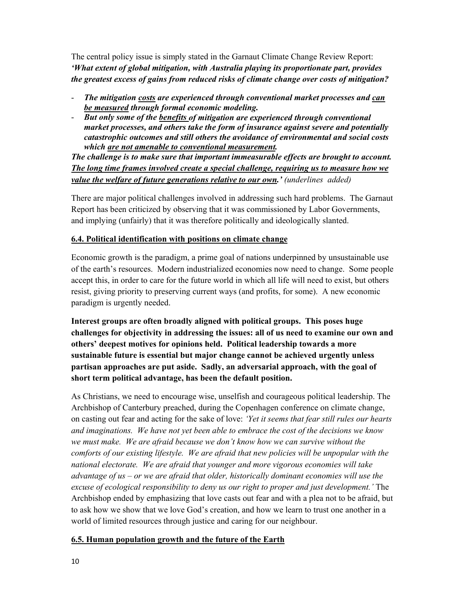The central policy issue is simply stated in the Garnaut Climate Change Review Report: *'What extent of global mitigation, with Australia playing its proportionate part, provides the greatest excess of gains from reduced risks of climate change over costs of mitigation?* 

- *The mitigation costs are experienced through conventional market processes and can be measured through formal economic modeling.*
- *But only some of the benefits of mitigation are experienced through conventional market processes, and others take the form of insurance against severe and potentially catastrophic outcomes and still others the avoidance of environmental and social costs which are not amenable to conventional measurement.*

*The challenge is to make sure that important immeasurable effects are brought to account. The long time frames involved create a special challenge, requiring us to measure how we value the welfare of future generations relative to our own.' (underlines added)*

There are major political challenges involved in addressing such hard problems. The Garnaut Report has been criticized by observing that it was commissioned by Labor Governments, and implying (unfairly) that it was therefore politically and ideologically slanted.

#### **6.4. Political identification with positions on climate change**

Economic growth is the paradigm, a prime goal of nations underpinned by unsustainable use of the earth's resources. Modern industrialized economies now need to change. Some people accept this, in order to care for the future world in which all life will need to exist, but others resist, giving priority to preserving current ways (and profits, for some). A new economic paradigm is urgently needed.

**Interest groups are often broadly aligned with political groups. This poses huge challenges for objectivity in addressing the issues: all of us need to examine our own and others' deepest motives for opinions held. Political leadership towards a more sustainable future is essential but major change cannot be achieved urgently unless partisan approaches are put aside. Sadly, an adversarial approach, with the goal of short term political advantage, has been the default position.** 

As Christians, we need to encourage wise, unselfish and courageous political leadership. The Archbishop of Canterbury preached, during the Copenhagen conference on climate change, on casting out fear and acting for the sake of love: *'Yet it seems that fear still rules our hearts and imaginations. We have not yet been able to embrace the cost of the decisions we know we must make. We are afraid because we don't know how we can survive without the comforts of our existing lifestyle. We are afraid that new policies will be unpopular with the national electorate. We are afraid that younger and more vigorous economies will take advantage of us – or we are afraid that older, historically dominant economies will use the excuse of ecological responsibility to deny us our right to proper and just development.'* The Archbishop ended by emphasizing that love casts out fear and with a plea not to be afraid, but to ask how we show that we love God's creation, and how we learn to trust one another in a world of limited resources through justice and caring for our neighbour.

## **6.5. Human population growth and the future of the Earth**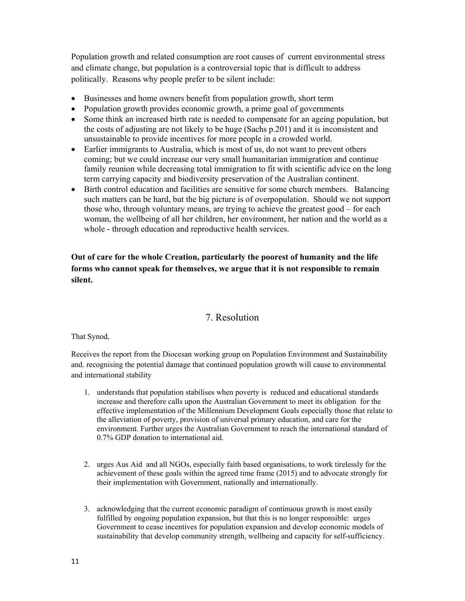Population growth and related consumption are root causes of current environmental stress and climate change, but population is a controversial topic that is difficult to address politically. Reasons why people prefer to be silent include:

- Businesses and home owners benefit from population growth, short term
- Population growth provides economic growth, a prime goal of governments
- Some think an increased birth rate is needed to compensate for an ageing population, but the costs of adjusting are not likely to be huge (Sachs p.201) and it is inconsistent and unsustainable to provide incentives for more people in a crowded world.
- Earlier immigrants to Australia, which is most of us, do not want to prevent others coming; but we could increase our very small humanitarian immigration and continue family reunion while decreasing total immigration to fit with scientific advice on the long term carrying capacity and biodiversity preservation of the Australian continent.
- Birth control education and facilities are sensitive for some church members. Balancing such matters can be hard, but the big picture is of overpopulation. Should we not support those who, through voluntary means, are trying to achieve the greatest good – for each woman, the wellbeing of all her children, her environment, her nation and the world as a whole - through education and reproductive health services.

## **Out of care for the whole Creation, particularly the poorest of humanity and the life forms who cannot speak for themselves, we argue that it is not responsible to remain silent.**

## 7. Resolution

That Synod,

Receives the report from the Diocesan working group on Population Environment and Sustainability and. recognising the potential damage that continued population growth will cause to environmental and international stability

- 1. understands that population stabilises when poverty is reduced and educational standards increase and therefore calls upon the Australian Government to meet its obligation for the effective implementation of the Millennium Development Goals especially those that relate to the alleviation of poverty, provision of universal primary education, and care for the environment. Further urges the Australian Government to reach the international standard of 0.7% GDP donation to international aid.
- 2. urges Aus Aid and all NGOs, especially faith based organisations, to work tirelessly for the achievement of these goals within the agreed time frame (2015) and to advocate strongly for their implementation with Government, nationally and internationally.
- 3. acknowledging that the current economic paradigm of continuous growth is most easily fulfilled by ongoing population expansion, but that this is no longer responsible: urges Government to cease incentives for population expansion and develop economic models of sustainability that develop community strength, wellbeing and capacity for self-sufficiency.